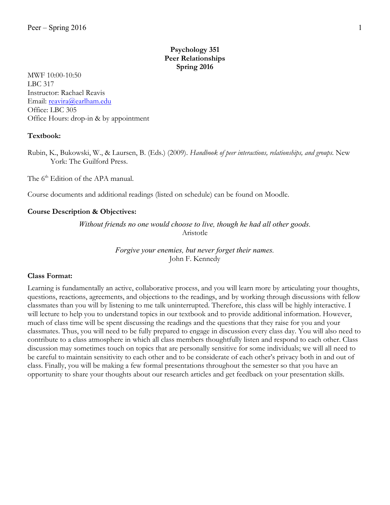# **Psychology 351 Peer Relationships Spring 2016**

MWF 10:00-10:50 LBC 317 Instructor: Rachael Reavis Email: reavira@earlham.edu Office: LBC 305 Office Hours: drop-in & by appointment

#### **Textbook:**

Rubin, K., Bukowski, W., & Laursen, B. (Eds.) (2009). *Handbook of peer interactions, relationships, and groups.* New York: The Guilford Press.

The 6<sup>th</sup> Edition of the APA manual.

Course documents and additional readings (listed on schedule) can be found on Moodle.

#### **Course Description & Objectives:**

*Without friends no one would choose to live, though he had all other goods.* Aristotle

> *Forgive your enemies, but never forget their names.* John F. Kennedy

#### **Class Format:**

Learning is fundamentally an active, collaborative process, and you will learn more by articulating your thoughts, questions, reactions, agreements, and objections to the readings, and by working through discussions with fellow classmates than you will by listening to me talk uninterrupted. Therefore, this class will be highly interactive. I will lecture to help you to understand topics in our textbook and to provide additional information. However, much of class time will be spent discussing the readings and the questions that they raise for you and your classmates. Thus, you will need to be fully prepared to engage in discussion every class day. You will also need to contribute to a class atmosphere in which all class members thoughtfully listen and respond to each other. Class discussion may sometimes touch on topics that are personally sensitive for some individuals; we will all need to be careful to maintain sensitivity to each other and to be considerate of each other's privacy both in and out of class. Finally, you will be making a few formal presentations throughout the semester so that you have an opportunity to share your thoughts about our research articles and get feedback on your presentation skills.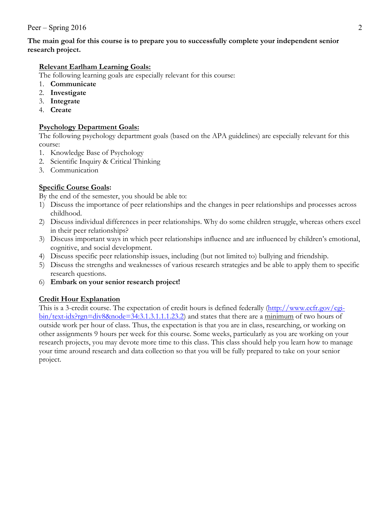#### **The main goal for this course is to prepare you to successfully complete your independent senior research project.**

## **Relevant Earlham Learning Goals:**

The following learning goals are especially relevant for this course:

- 1. **Communicate**
- 2. **Investigate**
- 3. **Integrate**
- 4. **Create**

## **Psychology Department Goals:**

The following psychology department goals (based on the APA guidelines) are especially relevant for this course:

- 1. Knowledge Base of Psychology
- 2. Scientific Inquiry & Critical Thinking
- 3. Communication

## **Specific Course Goals:**

By the end of the semester, you should be able to:

- 1) Discuss the importance of peer relationships and the changes in peer relationships and processes across childhood.
- 2) Discuss individual differences in peer relationships. Why do some children struggle, whereas others excel in their peer relationships?
- 3) Discuss important ways in which peer relationships influence and are influenced by children's emotional, cognitive, and social development.
- 4) Discuss specific peer relationship issues, including (but not limited to) bullying and friendship.
- 5) Discuss the strengths and weaknesses of various research strategies and be able to apply them to specific research questions.
- 6) **Embark on your senior research project!**

## **Credit Hour Explanation**

This is a 3-credit course. The expectation of credit hours is defined federally (http://www.ecfr.gov/cgibin/text-idx?rgn=div8&node=34:3.1.3.1.1.1.23.2) and states that there are a minimum of two hours of outside work per hour of class. Thus, the expectation is that you are in class, researching, or working on other assignments 9 hours per week for this course. Some weeks, particularly as you are working on your research projects, you may devote more time to this class. This class should help you learn how to manage your time around research and data collection so that you will be fully prepared to take on your senior project.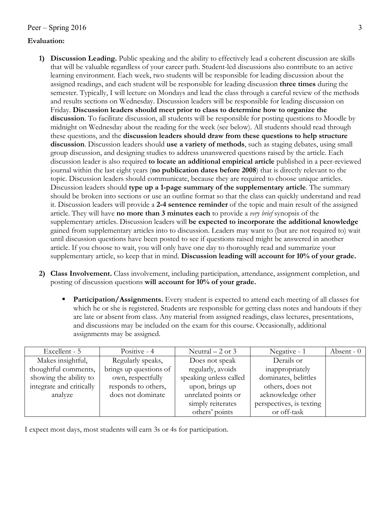#### **Evaluation:**

- **1) Discussion Leading.** Public speaking and the ability to effectively lead a coherent discussion are skills that will be valuable regardless of your career path. Student-led discussions also contribute to an active learning environment. Each week, two students will be responsible for leading discussion about the assigned readings, and each student will be responsible for leading discussion **three times** during the semester. Typically, I will lecture on Mondays and lead the class through a careful review of the methods and results sections on Wednesday. Discussion leaders will be responsible for leading discussion on Friday. **Discussion leaders should meet prior to class to determine how to organize the discussion**. To facilitate discussion, all students will be responsible for posting questions to Moodle by midnight on Wednesday about the reading for the week (see below). All students should read through these questions, and the **discussion leaders should draw from these questions to help structure discussion**. Discussion leaders should **use a variety of methods**, such as staging debates, using small group discussion, and designing studies to address unanswered questions raised by the article. Each discussion leader is also required **to locate an additional empirical article** published in a peer-reviewed journal within the last eight years (**no publication dates before 2008**) that is directly relevant to the topic. Discussion leaders should communicate, because they are required to choose unique articles. Discussion leaders should **type up a 1-page summary of the supplementary article**. The summary should be broken into sections or use an outline format so that the class can quickly understand and read it. Discussion leaders will provide a **2-4 sentence reminder** of the topic and main result of the assigned article. They will have **no more than 3 minutes each** to provide a *very brief* synopsis of the supplementary articles. Discussion leaders will **be expected to incorporate the additional knowledge** gained from supplementary articles into to discussion. Leaders may want to (but are not required to) wait until discussion questions have been posted to see if questions raised might be answered in another article. If you choose to wait, you will only have one day to thoroughly read and summarize your supplementary article, so keep that in mind. **Discussion leading will account for 10% of your grade.**
- **2) Class Involvement.** Class involvement, including participation, attendance, assignment completion, and posting of discussion questions **will account for 10% of your grade.**
	- **Participation/Assignments.** Every student is expected to attend each meeting of all classes for which he or she is registered. Students are responsible for getting class notes and handouts if they are late or absent from class. Any material from assigned readings, class lectures, presentations, and discussions may be included on the exam for this course. Occasionally, additional assignments may be assigned.

| Excellent - 5            | Positive - 4           | Neutral $-2$ or 3      | Negative - 1             | Absent $-0$ |
|--------------------------|------------------------|------------------------|--------------------------|-------------|
| Makes insightful,        | Regularly speaks,      | Does not speak         | Derails or               |             |
| thoughtful comments,     | brings up questions of | regularly, avoids      | inappropriately          |             |
| showing the ability to   | own, respectfully      | speaking unless called | dominates, belittles     |             |
| integrate and critically | responds to others,    | upon, brings up        | others, does not         |             |
| analyze                  | does not dominate      | unrelated points or    | acknowledge other        |             |
|                          |                        | simply reiterates      | perspectives, is texting |             |
|                          |                        | others' points         | or off-task              |             |

I expect most days, most students will earn 3s or 4s for participation.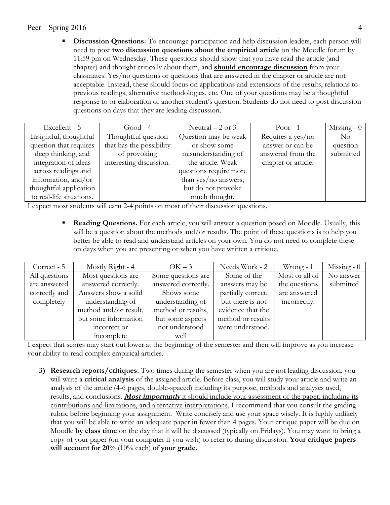**• Discussion Questions.** To encourage participation and help discussion leaders, each person will need to post **two discussion questions about the empirical article** on the Moodle forum by 11:59 pm on Wednesday. These questions should show that you have read the article (and chapter) and thought critically about them, and **should encourage discussion** from your classmates. Yes/no questions or questions that are answered in the chapter or article are not acceptable. Instead, these should focus on applications and extensions of the results, relations to previous readings, alternative methodologies, etc. One of your questions may be a thoughtful response to or elaboration of another student's question. Students do not need to post discussion questions on days that they are leading discussion.

| Excellent - 5            | $Good - 4$               | Neutral $-2$ or 3      | Poor $-1$           | Missing - $0$  |
|--------------------------|--------------------------|------------------------|---------------------|----------------|
| Insightful, thoughtful   | Thoughtful question      | Question may be weak   | Requires a yes/no   | N <sub>o</sub> |
| question that requires   | that has the possibility | or show some           | answer or can be    | question       |
| deep thinking, and       | of provoking             | misunderstanding of    | answered from the   | submitted      |
| integration of ideas     | interesting discussion.  | the article. Weak      | chapter or article. |                |
| across readings and      |                          | questions require more |                     |                |
| information, and/or      |                          | than yes/no answers,   |                     |                |
| thoughtful application   |                          | but do not provoke     |                     |                |
| to real-life situations. |                          | much thought.          |                     |                |

I expect most students will earn 2-4 points on most of their discussion questions.

**Reading Questions.** For each article, you will answer a question posed on Moodle. Usually, this will be a question about the methods and/or results. The point of these questions is to help you better be able to read and understand articles on your own. You do not need to complete these on days when you are presenting or when you have written a critique.

| Correct - 5   | Mostly Right - 4      | $OK-3$              | Needs Work - 2     | $W$ rong - 1   | Missing $-0$ |
|---------------|-----------------------|---------------------|--------------------|----------------|--------------|
| All questions | Most questions are    | Some questions are  | Some of the        | Most or all of | No answer    |
| are answered  | answered correctly.   | answered correctly. | answers may be     | the questions  | submitted    |
| correctly and | Answers show a solid  | Shows some          | partially correct, | are answered   |              |
| completely    | understanding of      | understanding of    | but there is not   | incorrectly.   |              |
|               | method and/or result, | method or results,  | evidence that the  |                |              |
|               | but some information  | but some aspects    | method or results  |                |              |
|               | incorrect or          | not understood      | were understood.   |                |              |
|               | incomplete            | well                |                    |                |              |

I expect that scores may start out lower at the beginning of the semester and then will improve as you increase your ability to read complex empirical articles.

**3) Research reports/critiques.** Two times during the semester when you are not leading discussion, you will write a **critical analysis** of the assigned article. Before class, you will study your article and write an analysis of the article (4-6 pages, double-spaced) including its purpose, methods and analyses used, results, and conclusions. **Most importantly** it should include your assessment of the paper, including its contributions and limitations, and alternative interpretations. I recommend that you consult the grading rubric before beginning your assignment. Write concisely and use your space wisely. It is highly unlikely that you will be able to write an adequate paper in fewer than 4 pages. Your critique paper will be due on Moodle **by class time** on the day that it will be discussed (typically on Fridays). You may want to bring a copy of your paper (on your computer if you wish) to refer to during discussion. **Your critique papers will account for 20%** (10% each) **of your grade.**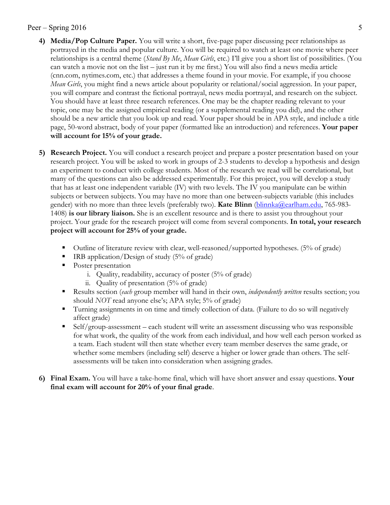- **4) Media/Pop Culture Paper.** You will write a short, five-page paper discussing peer relationships as portrayed in the media and popular culture. You will be required to watch at least one movie where peer relationships is a central theme (*Stand By Me*, *Mean Girls*, etc.) I'll give you a short list of possibilities. (You can watch a movie not on the list – just run it by me first.) You will also find a news media article (cnn.com, nytimes.com, etc.) that addresses a theme found in your movie. For example, if you choose *Mean Girls*, you might find a news article about popularity or relational/social aggression. In your paper, you will compare and contrast the fictional portrayal, news media portrayal, and research on the subject. You should have at least three research references. One may be the chapter reading relevant to your topic, one may be the assigned empirical reading (or a supplemental reading you did), and the other should be a new article that you look up and read. Your paper should be in APA style, and include a title page, 50-word abstract, body of your paper (formatted like an introduction) and references. **Your paper will account for 15% of your grade.**
- **5) Research Project.** You will conduct a research project and prepare a poster presentation based on your research project. You will be asked to work in groups of 2-3 students to develop a hypothesis and design an experiment to conduct with college students. Most of the research we read will be correlational, but many of the questions can also be addressed experimentally. For this project, you will develop a study that has at least one independent variable (IV) with two levels. The IV you manipulate can be within subjects or between subjects. You may have no more than one between-subjects variable (this includes gender) with no more than three levels (preferably two). **Kate Blinn** (blinnka@earlham.edu, 765-983- 1408) **is our library liaison.** She is an excellent resource and is there to assist you throughout your project. Your grade for the research project will come from several components. **In total, your research project will account for 25% of your grade.**
	- § Outline of literature review with clear, well-reasoned/supported hypotheses. (5% of grade)
	- § IRB application/Design of study (5% of grade)
	- Poster presentation
		- i. Quality, readability, accuracy of poster (5% of grade)
		- ii. Quality of presentation (5% of grade)
	- § Results section (*each* group member will hand in their own, *independently written* results section; you should *NOT* read anyone else's; APA style; 5% of grade)
	- § Turning assignments in on time and timely collection of data. (Failure to do so will negatively affect grade)
	- § Self/group-assessment each student will write an assessment discussing who was responsible for what work, the quality of the work from each individual, and how well each person worked as a team. Each student will then state whether every team member deserves the same grade, or whether some members (including self) deserve a higher or lower grade than others. The selfassessments will be taken into consideration when assigning grades.
- **6) Final Exam.** You will have a take-home final, which will have short answer and essay questions. **Your final exam will account for 20% of your final grade**.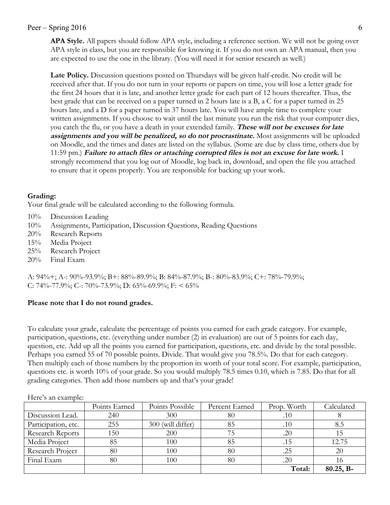**APA Style.** All papers should follow APA style, including a reference section. We will not be going over APA style in class, but you are responsible for knowing it. If you do not own an APA manual, then you are expected to use the one in the library. (You will need it for senior research as well.)

**Late Policy.** Discussion questions posted on Thursdays will be given half-credit. No credit will be received after that. If you do not turn in your reports or papers on time, you will lose a letter grade for the first 24 hours that it is late, and another letter grade for each part of 12 hours thereafter. Thus, the best grade that can be received on a paper turned in 2 hours late is a B, a C for a paper turned in 25 hours late, and a D for a paper turned in 37 hours late. You will have ample time to complete your written assignments. If you choose to wait until the last minute you run the risk that your computer dies, you catch the flu, or you have a death in your extended family. **These will not be excuses for late assignments and you will be penalized, so do not procrastinate.** Most assignments will be uploaded on Moodle, and the times and dates are listed on the syllabus. (Some are due by class time, others due by 11:59 pm.) **Failure to attach files or attaching corrupted files is not an excuse for late work.** I strongly recommend that you log out of Moodle, log back in, download, and open the file you attached to ensure that it opens properly. You are responsible for backing up your work.

## **Grading:**

Your final grade will be calculated according to the following formula.

- 10% Discussion Leading
- 10% Assignments, Participation, Discussion Questions, Reading Questions
- 20% Research Reports
- 15% Media Project
- 25% Research Project
- 20% Final Exam

A: 94%+; A-: 90%-93.9%; B+: 88%-89.9%; B: 84%-87.9%; B-: 80%-83.9%; C+: 78%-79.9%; C: 74%-77.9%; C-: 70%-73.9%; D: 65%-69.9%; F: < 65%

## **Please note that I do not round grades.**

To calculate your grade, calculate the percentage of points you earned for each grade category. For example, participation, questions, etc. (everything under number (2) in evaluation) are out of 5 points for each day, question, etc. Add up all the points you earned for participation, questions, etc. and divide by the total possible. Perhaps you earned 55 of 70 possible points. Divide. That would give you 78.5%. Do that for each category. Then multiply each of those numbers by the proportion its worth of your total score. For example, participation, questions etc. is worth 10% of your grade. So you would multiply 78.5 times 0.10, which is 7.85. Do that for all grading categories. Then add those numbers up and that's your grade!

|                     | Points Earned | Points Possible   | Percent Earned | Prop. Worth | Calculated  |
|---------------------|---------------|-------------------|----------------|-------------|-------------|
| Discussion Lead.    | 240           | 300               | 80             | .10         |             |
| Participation, etc. | 255           | 300 (will differ) | 85             | .10         | 8.5         |
| Research Reports    | 150           | 200               |                | .20         |             |
| Media Project       | 85            | 100               | 85             | .15         | 12.75       |
| Research Project    | 80            | 100               | 80             | .25         | 20          |
| Final Exam          | 80            | 100               | 80             | .20         |             |
|                     |               |                   |                | Total:      | $80.25, B-$ |

Here's an example: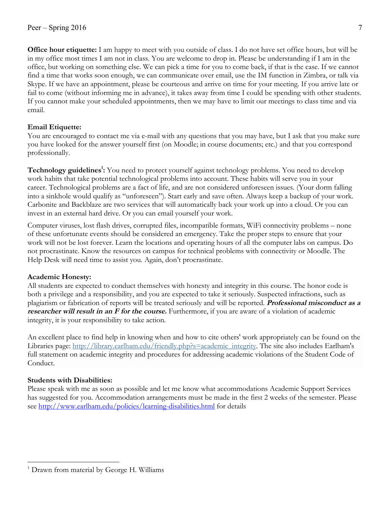**Office hour etiquette:** I am happy to meet with you outside of class. I do not have set office hours, but will be in my office most times I am not in class. You are welcome to drop in. Please be understanding if I am in the office, but working on something else. We can pick a time for you to come back, if that is the case. If we cannot find a time that works soon enough, we can communicate over email, use the IM function in Zimbra, or talk via Skype. If we have an appointment, please be courteous and arrive on time for your meeting. If you arrive late or fail to come (without informing me in advance), it takes away from time I could be spending with other students. If you cannot make your scheduled appointments, then we may have to limit our meetings to class time and via email.

## **Email Etiquette:**

You are encouraged to contact me via e-mail with any questions that you may have, but I ask that you make sure you have looked for the answer yourself first (on Moodle; in course documents; etc.) and that you correspond professionally.

Technology guidelines<sup>1</sup>: You need to protect yourself against technology problems. You need to develop work habits that take potential technological problems into account. These habits will serve you in your career. Technological problems are a fact of life, and are not considered unforeseen issues. (Your dorm falling into a sinkhole would qualify as "unforeseen"). Start early and save often. Always keep a backup of your work. Carbonite and Backblaze are two services that will automatically back your work up into a cloud. Or you can invest in an external hard drive. Or you can email yourself your work.

Computer viruses, lost flash drives, corrupted files, incompatible formats, WiFi connectivity problems – none of these unfortunate events should be considered an emergency. Take the proper steps to ensure that your work will not be lost forever. Learn the locations and operating hours of all the computer labs on campus. Do not procrastinate. Know the resources on campus for technical problems with connectivity or Moodle. The Help Desk will need time to assist you. Again, don't procrastinate.

## **Academic Honesty:**

All students are expected to conduct themselves with honesty and integrity in this course. The honor code is both a privilege and a responsibility, and you are expected to take it seriously. Suspected infractions, such as plagiarism or fabrication of reports will be treated seriously and will be reported. **Professional misconduct as a researcher will result in an F for the course.** Furthermore, if you are aware of a violation of academic integrity, it is your responsibility to take action.

An excellent place to find help in knowing when and how to cite others' work appropriately can be found on the Libraries page: http://library.earlham.edu/friendly.php?s=academic\_integrity. The site also includes Earlham's full statement on academic integrity and procedures for addressing academic violations of the Student Code of Conduct.

## **Students with Disabilities:**

 $\overline{a}$ 

Please speak with me as soon as possible and let me know what accommodations Academic Support Services has suggested for you. Accommodation arrangements must be made in the first 2 weeks of the semester. Please see http://www.earlham.edu/policies/learning-disabilities.html for details

<sup>&</sup>lt;sup>1</sup> Drawn from material by George H. Williams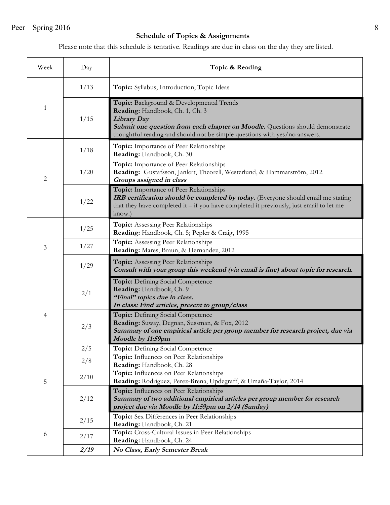# **Schedule of Topics & Assignments**

Please note that this schedule is tentative. Readings are due in class on the day they are listed.

| Week         | Day  | Topic & Reading                                                                                                                                                                                                                                                         |  |  |
|--------------|------|-------------------------------------------------------------------------------------------------------------------------------------------------------------------------------------------------------------------------------------------------------------------------|--|--|
| $\mathbf{1}$ | 1/13 | Topic: Syllabus, Introduction, Topic Ideas                                                                                                                                                                                                                              |  |  |
|              | 1/15 | Topic: Background & Developmental Trends<br>Reading: Handbook, Ch. 1, Ch. 3<br><b>Library Day</b><br><b>Submit one question from each chapter on Moodle.</b> Questions should demonstrate<br>thoughtful reading and should not be simple questions with yes/no answers. |  |  |
|              | 1/18 | Topic: Importance of Peer Relationships<br>Reading: Handbook, Ch. 30                                                                                                                                                                                                    |  |  |
| 2            | 1/20 | Topic: Importance of Peer Relationships<br>Reading: Gustafsson, Janlert, Theorell, Westerlund, & Hammarström, 2012<br>Groups assigned in class                                                                                                                          |  |  |
|              | 1/22 | Topic: Importance of Peer Relationships<br>IRB certification should be completed by today. (Everyone should email me stating<br>that they have completed it $-$ if you have completed it previously, just email to let me<br>know.)                                     |  |  |
|              | 1/25 | Topic: Assessing Peer Relationships<br>Reading: Handbook, Ch. 5; Pepler & Craig, 1995                                                                                                                                                                                   |  |  |
| 3            | 1/27 | Topic: Assessing Peer Relationships<br>Reading: Mares, Braun, & Hernandez, 2012                                                                                                                                                                                         |  |  |
|              | 1/29 | Topic: Assessing Peer Relationships<br>Consult with your group this weekend (via email is fine) about topic for research.                                                                                                                                               |  |  |
| 4            | 2/1  | Topic: Defining Social Competence<br>Reading: Handbook, Ch. 9<br>"Final" topics due in class.<br>In class: Find articles, present to group/class                                                                                                                        |  |  |
|              | 2/3  | Topic: Defining Social Competence<br>Reading: Suway, Degnan, Sussman, & Fox, 2012<br>Summary of one empirical article per group member for research project, due via<br>Moodle by 11:59pm                                                                               |  |  |
|              | 2/5  | Topic: Defining Social Competence                                                                                                                                                                                                                                       |  |  |
|              | 2/8  | Topic: Influences on Peer Relationships<br>Reading: Handbook, Ch. 28                                                                                                                                                                                                    |  |  |
| 5            | 2/10 | Topic: Influences on Peer Relationships<br>Reading: Rodriguez, Perez-Brena, Updegraff, & Umaña-Taylor, 2014                                                                                                                                                             |  |  |
|              | 2/12 | Topic: Influences on Peer Relationships<br>Summary of two additional empirical articles per group member for research<br>project due via Moodle by 11:59pm on 2/14 (Sunday)                                                                                             |  |  |
| 6            | 2/15 | Topic: Sex Differences in Peer Relationships<br>Reading: Handbook, Ch. 21                                                                                                                                                                                               |  |  |
|              | 2/17 | Topic: Cross-Cultural Issues in Peer Relationships<br>Reading: Handbook, Ch. 24                                                                                                                                                                                         |  |  |
|              | 2/19 | No Class, Early Semester Break                                                                                                                                                                                                                                          |  |  |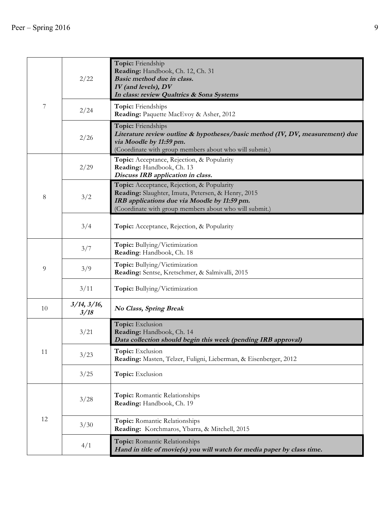|    | 2/22                      | Topic: Friendship<br>Reading: Handbook, Ch. 12, Ch. 31<br>Basic method due in class.<br>IV (and levels), DV<br>In class: review Qualtrics & Sona Systems                                                   |
|----|---------------------------|------------------------------------------------------------------------------------------------------------------------------------------------------------------------------------------------------------|
| 7  | 2/24                      | Topic: Friendships<br>Reading: Paquette MacEvoy & Asher, 2012                                                                                                                                              |
|    | 2/26                      | Topic: Friendships<br>Literature review outline & hypotheses/basic method (IV, DV, measurement) due<br>via Moodle by 11:59 pm.<br>(Coordinate with group members about who will submit.)                   |
|    | 2/29                      | Topic: Acceptance, Rejection, & Popularity<br>Reading: Handbook, Ch. 13<br>Discuss IRB application in class.                                                                                               |
| 8  | 3/2                       | Topic: Acceptance, Rejection, & Popularity<br>Reading: Slaughter, Imuta, Petersen, & Henry, 2015<br>IRB applications due via Moodle by 11:59 pm.<br>(Coordinate with group members about who will submit.) |
|    | 3/4                       | Topic: Acceptance, Rejection, & Popularity                                                                                                                                                                 |
|    | 3/7                       | Topic: Bullying/Victimization<br>Reading: Handbook, Ch. 18                                                                                                                                                 |
| 9  | 3/9                       | Topic: Bullying/Victimization<br>Reading: Sentse, Kretschmer, & Salmivalli, 2015                                                                                                                           |
|    | 3/11                      | Topic: Bullying/Victimization                                                                                                                                                                              |
| 10 | $3/14$ , $3/16$ ,<br>3/18 | <b>No Class, Spring Break</b>                                                                                                                                                                              |
|    | 3/21                      | Topic: Exclusion<br>Reading: Handbook, Ch. 14<br>Data collection should begin this week (pending IRB approval)                                                                                             |
| 11 | 3/23                      | Topic: Exclusion<br>Reading: Masten, Telzer, Fuligni, Lieberman, & Eisenberger, 2012                                                                                                                       |
|    | 3/25                      | Topic: Exclusion                                                                                                                                                                                           |
| 12 | 3/28                      | Topic: Romantic Relationships<br>Reading: Handbook, Ch. 19                                                                                                                                                 |
|    | 3/30                      | Topic: Romantic Relationships<br>Reading: Korchmaros, Ybarra, & Mitchell, 2015                                                                                                                             |
|    | 4/1                       | Topic: Romantic Relationships<br>Hand in title of movie(s) you will watch for media paper by class time.                                                                                                   |